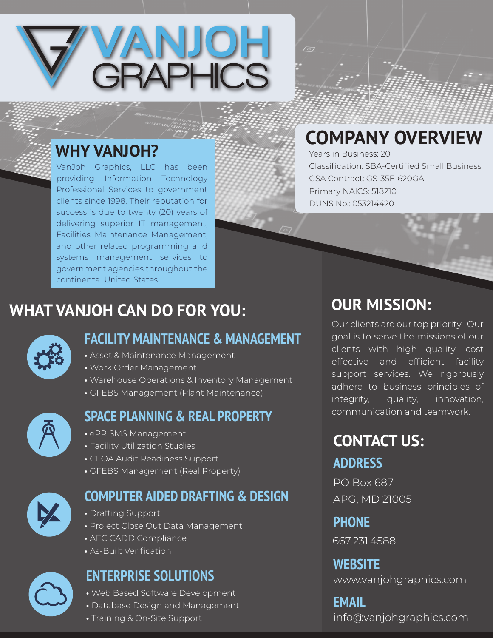

## **WHY VANJOH?**

VanJoh Graphics, LLC has been providing Information Technology Professional Services to government clients since 1998. Their reputation for success is due to twenty (20) years of delivering superior IT management, Facilities Maintenance Management, and other related programming and systems management services to government agencies throughout the continental United States.

# **COMPANY OVERVIEW**

 $\sqrt{27}$ 

Years in Business: 20 Classification: SBA-Certified Small Business GSA Contract: GS-35F-620GA Primary NAICS: 518210 DUNS No.: 053214420

## **WHAT VANJOH CAN DO FOR YOU:**



#### **FACILITY MAINTENANCE & MANAGEMENT**

- Asset & Maintenance Management
- Work Order Management
- Warehouse Operations & Inventory Management
- GFEBS Management (Plant Maintenance)



#### **SPACE PLANNING & REAL PROPERTY**

- ePRISMS Management
- Facility Utilization Studies
- CFOA Audit Readiness Support
- GFEBS Management (Real Property)



### **COMPUTER AIDED DRAFTING & DESIGN**

- Drafting Support
- Project Close Out Data Management
- AEC CADD Compliance
- As-Built Verification

## **ENTERPRISE SOLUTIONS**

- Web Based Software Development
- Database Design and Management
- Training & On-Site Support

## **OUR MISSION:**

Our clients are our top priority. Our goal is to serve the missions of our clients with high quality, cost effective and efficient facility support services. We rigorously adhere to business principles of integrity, quality, innovation, communication and teamwork.

# **CONTACT US:**

#### **ADDRESS**

PO Box 687 APG, MD 21005

**PHONE**

667.231.4588

www.vanjohgraphics.com **WEBSITE**

## info@vanjohgraphics.com **EMAIL**